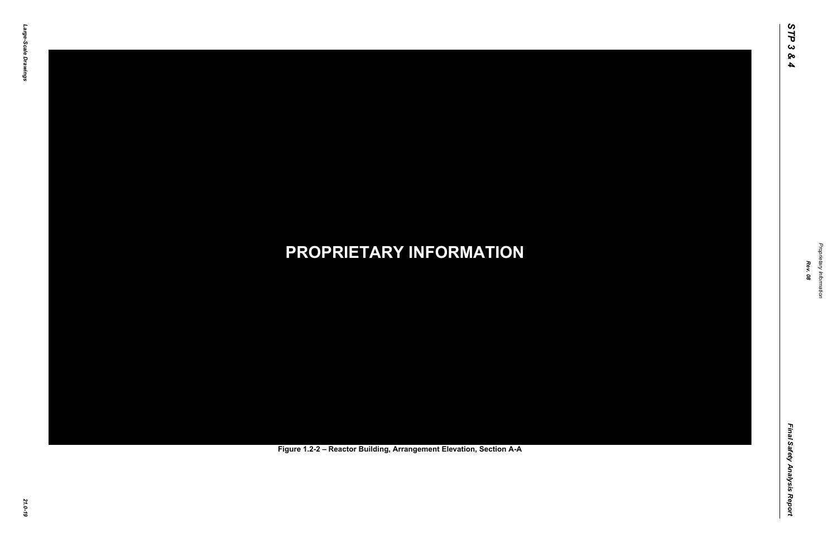Final Safety Analysis Report *Final Safety Analysis Report*



Proprietary Information *Proprietary Information*

#### *21.0-19* **PROPRIETARY INFORMATION Figure 1.2-2 – Reactor Building, Arrangement Elevation, Section A-A**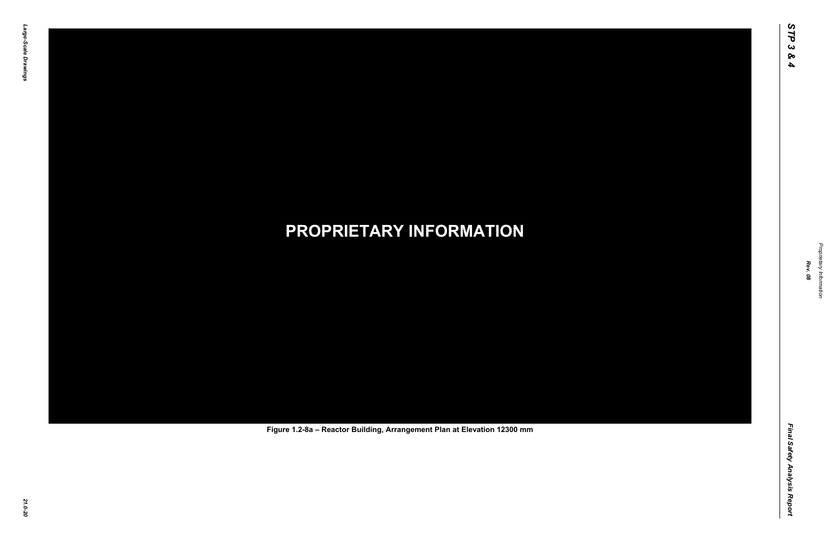Proprietary Information *Proprietary Information*

# *21.0-20* **PROPRIETARY INFORMATION Figure 1.2-8a – Reactor Building, Arrangement Plan at Elevation 12300 mm**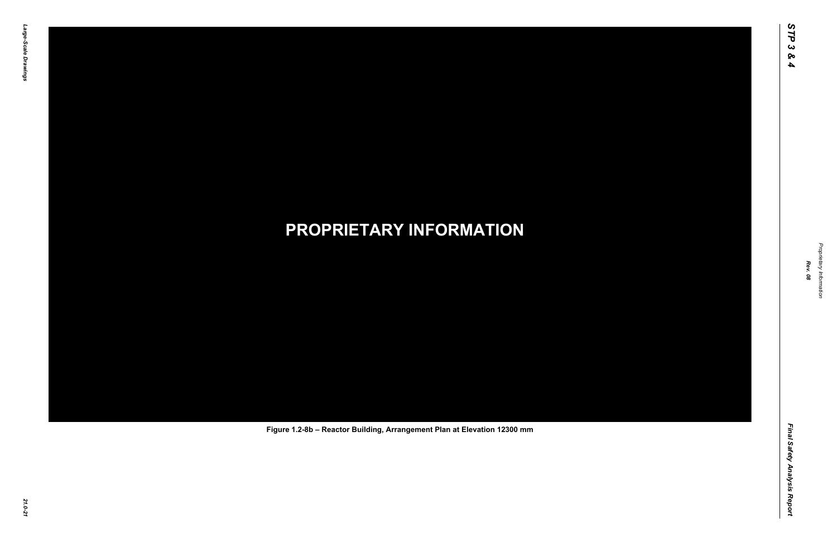Final Safety Analysis Report *Final Safety Analysis Report*



Proprietary Information *Proprietary Information*

# *21.0-21* **PROPRIETARY INFORMATION Figure 1.2-8b – Reactor Building, Arrangement Plan at Elevation 12300 mm**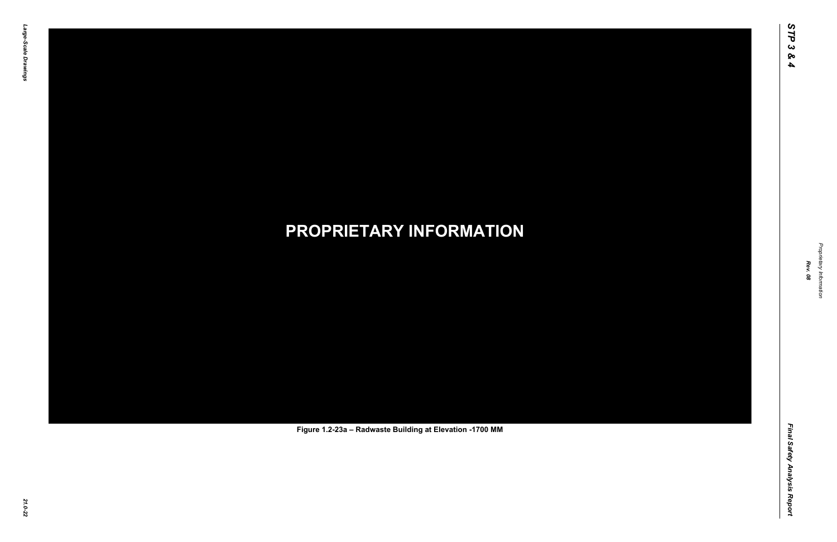Proprietary Information *Proprietary Information*

# *21.0-22* **PROPRIETARY INFORMATION Figure 1.2-23a – Radwaste Building at Elevation -1700 MM**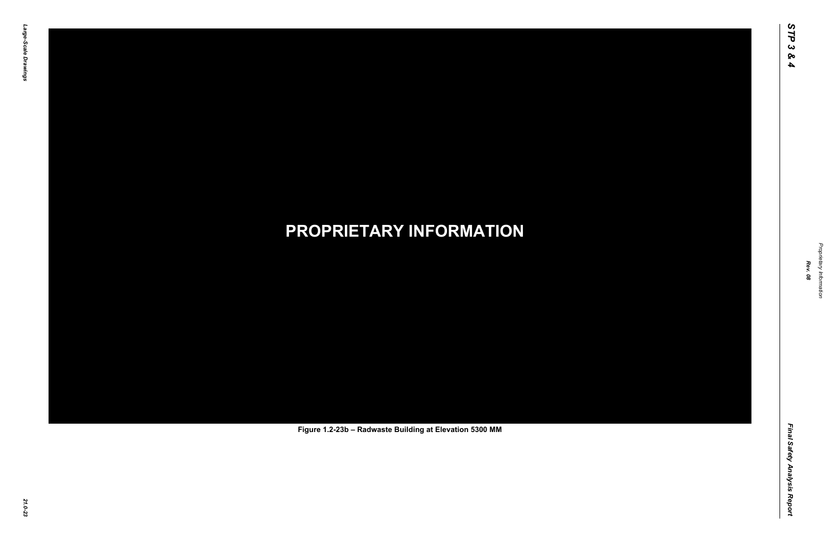Proprietary Information *Proprietary Information*

# *21.0-23* **PROPRIETARY INFORMATION Figure 1.2-23b – Radwaste Building at Elevation 5300 MM**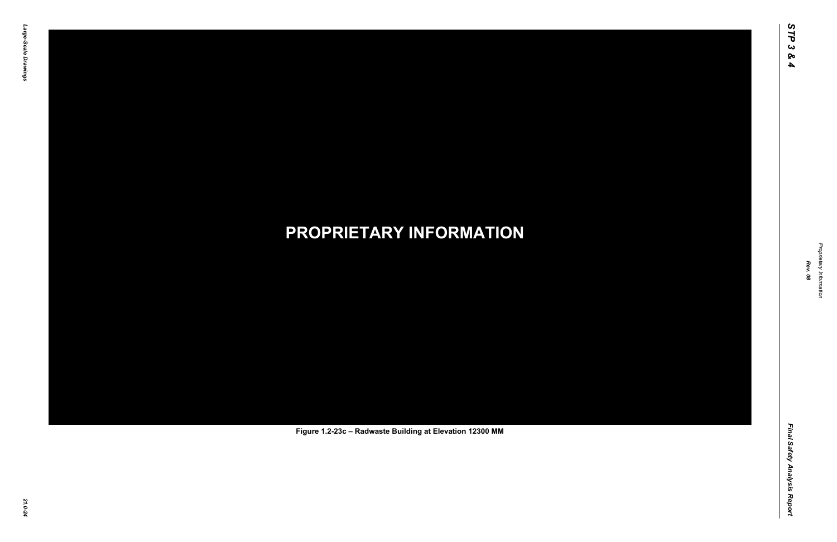Final Safety Analysis Report *Final Safety Analysis Report*



Proprietary Information *Proprietary Information*

# *21.0-24* **PROPRIETARY INFORMATION Figure 1.2-23c – Radwaste Building at Elevation 12300 MM**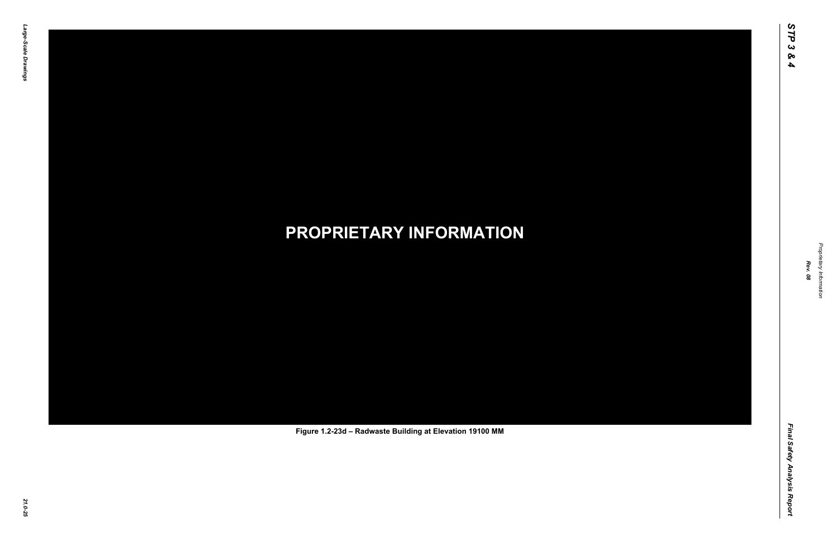Final Safety Analysis Report *Final Safety Analysis Report*



Proprietary Information *Proprietary Information*

# *21.0-25* **PROPRIETARY INFORMATION Figure 1.2-23d – Radwaste Building at Elevation 19100 MM**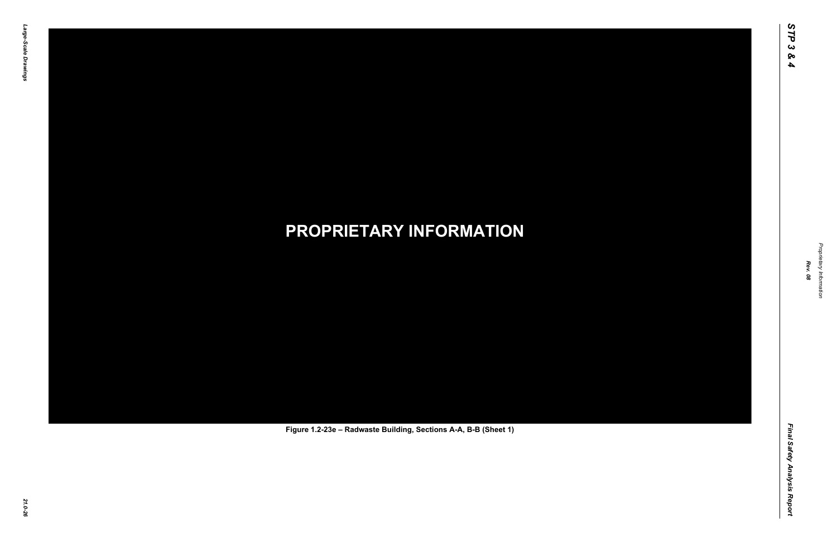Proprietary Information *Proprietary Information*

# *21.0-26* **PROPRIETARY INFORMATION Figure 1.2-23e – Radwaste Building, Sections A-A, B-B (Sheet 1)**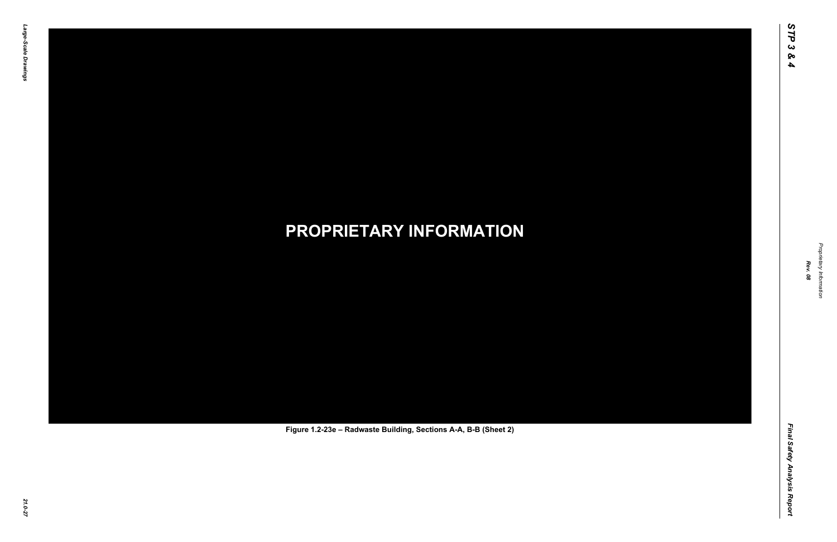Proprietary Information *Proprietary Information*

# *21.0-27* **PROPRIETARY INFORMATION Figure 1.2-23e – Radwaste Building, Sections A-A, B-B (Sheet 2)**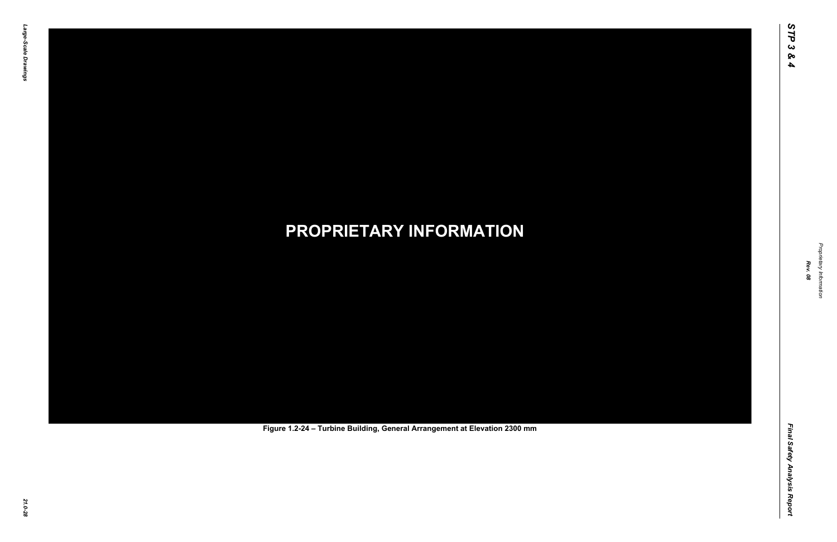Proprietary Information *Proprietary Information*

# *21.0-28* **PROPRIETARY INFORMATION Figure 1.2-24 – Turbine Building, General Arrangement at Elevation 2300 mm**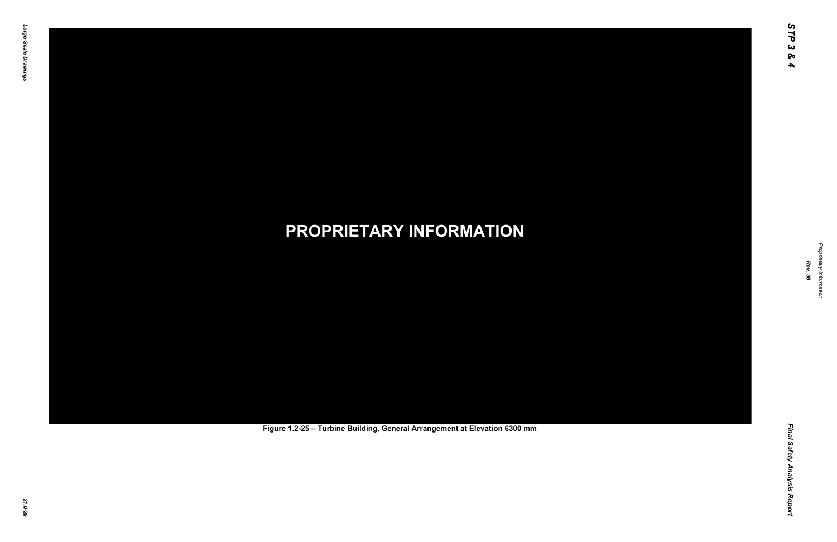Proprietary Information *Proprietary Information*

# *21.0-29* **PROPRIETARY INFORMATION Figure 1.2-25 – Turbine Building, General Arrangement at Elevation 6300 mm**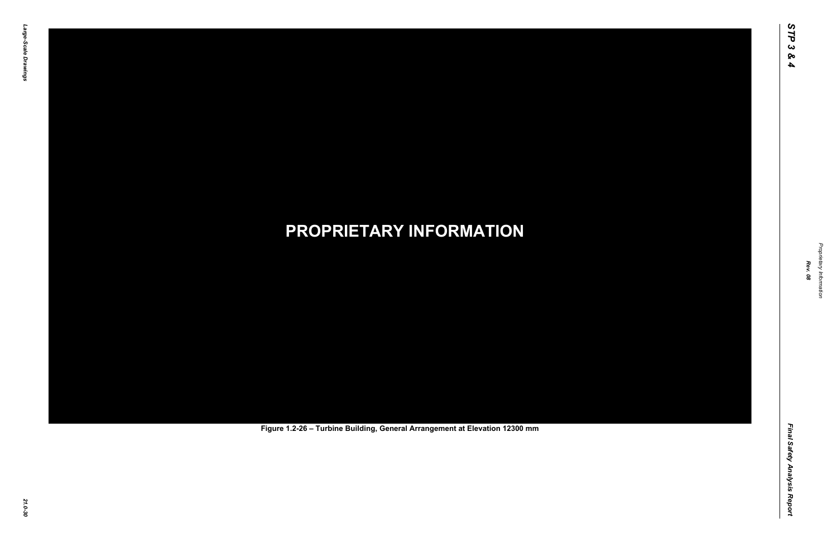Proprietary Information *Proprietary Information*

# *21.0-30* **PROPRIETARY INFORMATION Figure 1.2-26 – Turbine Building, General Arrangement at Elevation 12300 mm**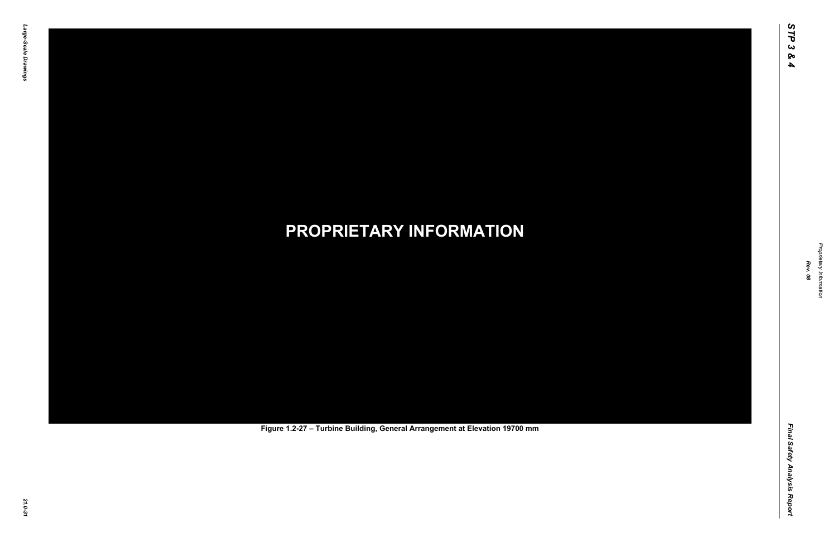Proprietary Information *Proprietary Information*

# *21.0-31* **PROPRIETARY INFORMATION Figure 1.2-27 – Turbine Building, General Arrangement at Elevation 19700 mm**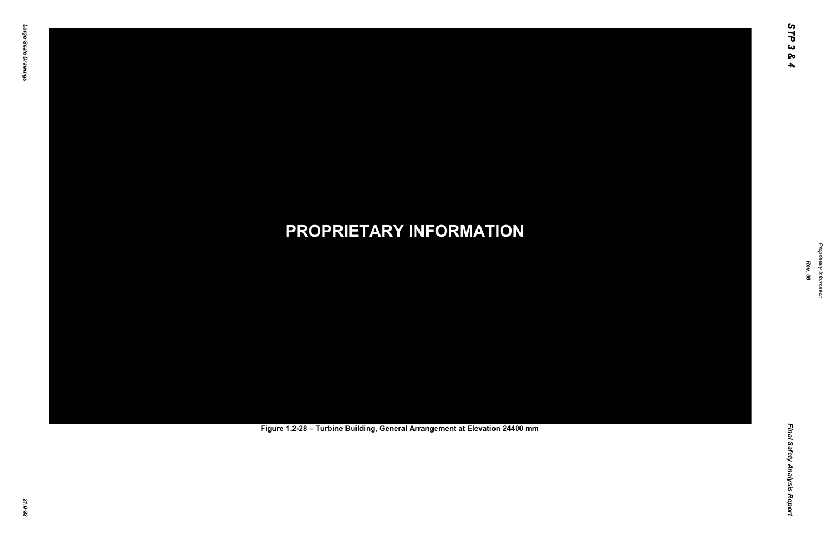Proprietary Information *Proprietary Information*

# *21.0-32* **PROPRIETARY INFORMATION Figure 1.2-28 – Turbine Building, General Arrangement at Elevation 24400 mm**